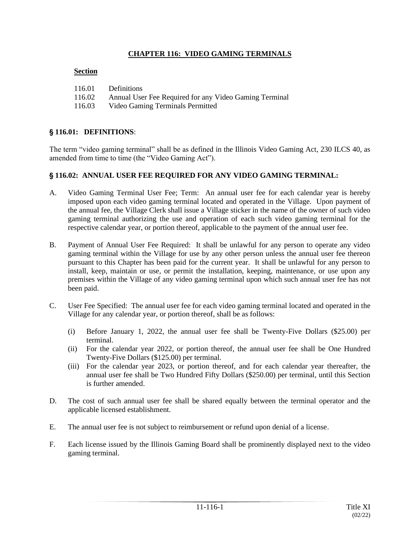## **CHAPTER 116: VIDEO GAMING TERMINALS**

#### **Section**

| 116.01 | Definitions                                            |
|--------|--------------------------------------------------------|
| 116.02 | Annual User Fee Required for any Video Gaming Terminal |
| 116.03 | Video Gaming Terminals Permitted                       |

## ' **116.01: DEFINITIONS**:

The term "video gaming terminal" shall be as defined in the Illinois Video Gaming Act, 230 ILCS 40, as amended from time to time (the "Video Gaming Act").

### ' **116.02: ANNUAL USER FEE REQUIRED FOR ANY VIDEO GAMING TERMINAL:**

- A. Video Gaming Terminal User Fee; Term: An annual user fee for each calendar year is hereby imposed upon each video gaming terminal located and operated in the Village. Upon payment of the annual fee, the Village Clerk shall issue a Village sticker in the name of the owner of such video gaming terminal authorizing the use and operation of each such video gaming terminal for the respective calendar year, or portion thereof, applicable to the payment of the annual user fee.
- B. Payment of Annual User Fee Required: It shall be unlawful for any person to operate any video gaming terminal within the Village for use by any other person unless the annual user fee thereon pursuant to this Chapter has been paid for the current year. It shall be unlawful for any person to install, keep, maintain or use, or permit the installation, keeping, maintenance, or use upon any premises within the Village of any video gaming terminal upon which such annual user fee has not been paid.
- C. User Fee Specified: The annual user fee for each video gaming terminal located and operated in the Village for any calendar year, or portion thereof, shall be as follows:
	- (i) Before January 1, 2022, the annual user fee shall be Twenty-Five Dollars (\$25.00) per terminal.
	- (ii) For the calendar year 2022, or portion thereof, the annual user fee shall be One Hundred Twenty-Five Dollars (\$125.00) per terminal.
	- (iii) For the calendar year 2023, or portion thereof, and for each calendar year thereafter, the annual user fee shall be Two Hundred Fifty Dollars (\$250.00) per terminal, until this Section is further amended.
- D. The cost of such annual user fee shall be shared equally between the terminal operator and the applicable licensed establishment.
- E. The annual user fee is not subject to reimbursement or refund upon denial of a license.
- F. Each license issued by the Illinois Gaming Board shall be prominently displayed next to the video gaming terminal.